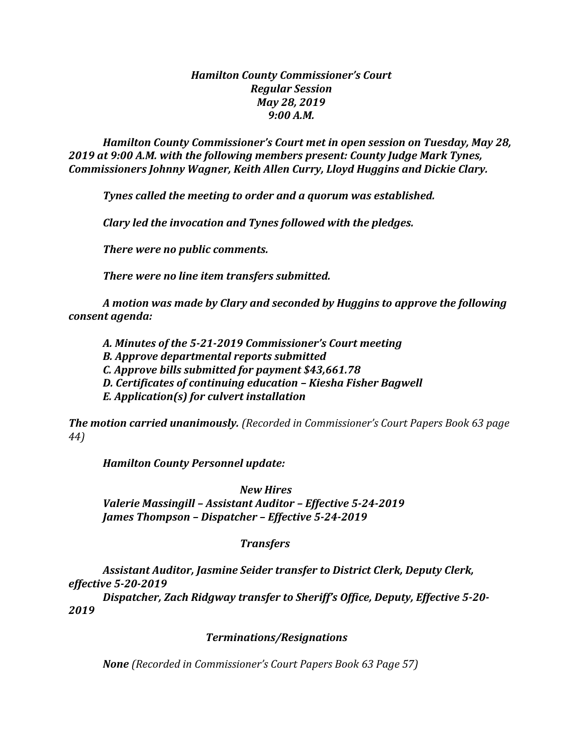## *Hamilton County Commissioner's Court Regular Session May 28, 2019 9:00 A.M.*

*Hamilton County Commissioner's Court met in open session on Tuesday, May 28, 2019 at 9:00 A.M. with the following members present: County Judge Mark Tynes, Commissioners Johnny Wagner, Keith Allen Curry, Lloyd Huggins and Dickie Clary.*

*Tynes called the meeting to order and a quorum was established.*

*Clary led the invocation and Tynes followed with the pledges.*

*There were no public comments.*

*There were no line item transfers submitted.*

*A motion was made by Clary and seconded by Huggins to approve the following consent agenda:*

*A. Minutes of the 5-21-2019 Commissioner's Court meeting*

*B. Approve departmental reports submitted*

*C. Approve bills submitted for payment \$43,661.78*

*D. Certificates of continuing education – Kiesha Fisher Bagwell*

*E. Application(s) for culvert installation*

*The motion carried unanimously. (Recorded in Commissioner's Court Papers Book 63 page 44)*

*Hamilton County Personnel update:*

*New Hires Valerie Massingill – Assistant Auditor – Effective 5-24-2019 James Thompson – Dispatcher – Effective 5-24-2019*

## *Transfers*

*Assistant Auditor, Jasmine Seider transfer to District Clerk, Deputy Clerk, effective 5-20-2019*

*Dispatcher, Zach Ridgway transfer to Sheriff's Office, Deputy, Effective 5-20- 2019*

## *Terminations/Resignations*

*None (Recorded in Commissioner's Court Papers Book 63 Page 57)*